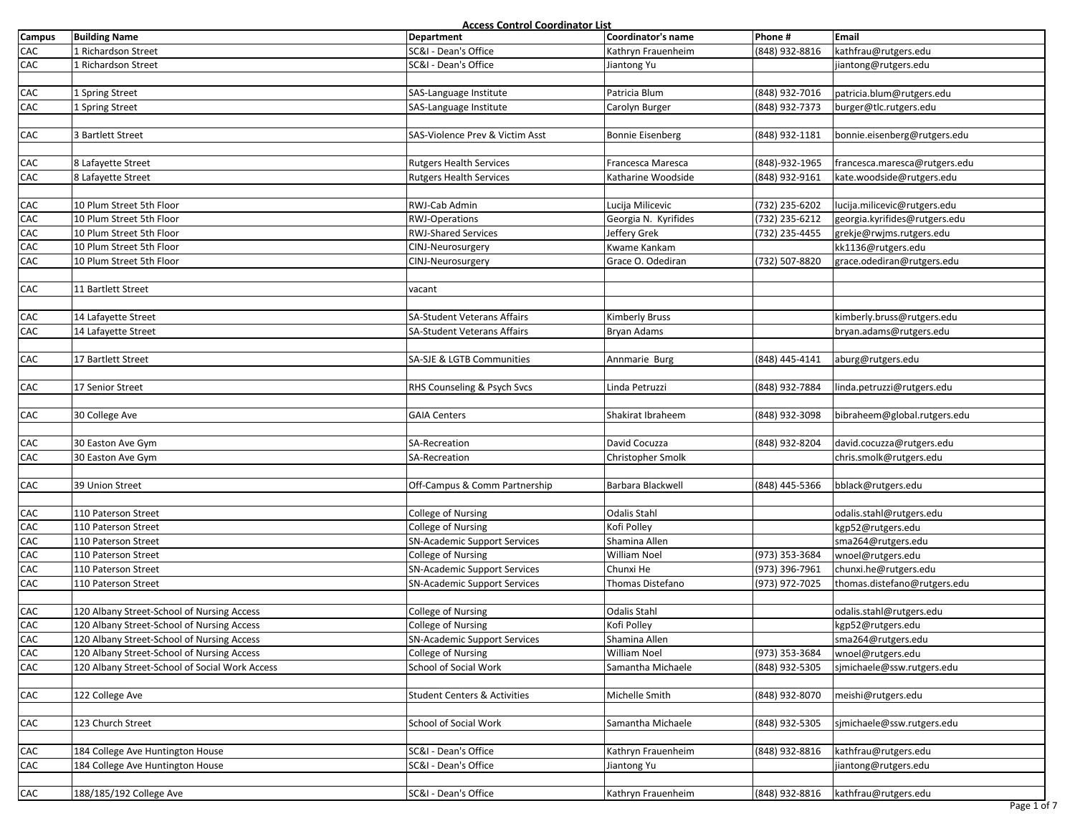|               |                                                | Access Control Coordinator List         |                      | Phone #        |                               |
|---------------|------------------------------------------------|-----------------------------------------|----------------------|----------------|-------------------------------|
| <b>Campus</b> | <b>Building Name</b>                           | <b>Department</b>                       | Coordinator's name   |                | Email                         |
| CAC           | 1 Richardson Street                            | SC&I - Dean's Office                    | Kathryn Frauenheim   | (848) 932-8816 | kathfrau@rutgers.edu          |
| CAC           | 1 Richardson Street                            | SC&I - Dean's Office                    | Jiantong Yu          |                | jiantong@rutgers.edu          |
|               |                                                |                                         |                      |                |                               |
| CAC           | 1 Spring Street                                | SAS-Language Institute                  | Patricia Blum        | (848) 932-7016 | patricia.blum@rutgers.edu     |
| CAC           | 1 Spring Street                                | SAS-Language Institute                  | Carolyn Burger       | (848) 932-7373 | burger@tlc.rutgers.edu        |
|               |                                                |                                         |                      |                |                               |
| CAC           | 3 Bartlett Street                              | SAS-Violence Prev & Victim Asst         | Bonnie Eisenberg     | (848) 932-1181 | bonnie.eisenberg@rutgers.edu  |
|               |                                                |                                         |                      |                |                               |
| CAC           | 8 Lafayette Street                             | <b>Rutgers Health Services</b>          | Francesca Maresca    | (848)-932-1965 | francesca.maresca@rutgers.edu |
| CAC           | 8 Lafayette Street                             | <b>Rutgers Health Services</b>          | Katharine Woodside   | (848) 932-9161 | kate.woodside@rutgers.edu     |
|               |                                                |                                         |                      |                |                               |
| ${\sf CAC}$   | 10 Plum Street 5th Floor                       | RWJ-Cab Admin                           | Lucija Milicevic     | (732) 235-6202 | lucija.milicevic@rutgers.edu  |
| CAC           | 10 Plum Street 5th Floor                       | <b>RWJ-Operations</b>                   | Georgia N. Kyrifides |                |                               |
|               |                                                | <b>RWJ-Shared Services</b>              |                      | (732) 235-6212 | georgia.kyrifides@rutgers.edu |
| ${\sf CAC}$   | 10 Plum Street 5th Floor                       |                                         | Jeffery Grek         | (732) 235-4455 | grekje@rwjms.rutgers.edu      |
| CAC           | 10 Plum Street 5th Floor                       | CINJ-Neurosurgery                       | Kwame Kankam         |                | kk1136@rutgers.edu            |
| CAC           | 10 Plum Street 5th Floor                       | CINJ-Neurosurgery                       | Grace O. Odediran    | (732) 507-8820 | grace.odediran@rutgers.edu    |
|               |                                                |                                         |                      |                |                               |
| CAC           | 11 Bartlett Street                             | vacant                                  |                      |                |                               |
|               |                                                |                                         |                      |                |                               |
| CAC           | 14 Lafayette Street                            | SA-Student Veterans Affairs             | Kimberly Bruss       |                | kimberly.bruss@rutgers.edu    |
| ${\sf CAC}$   | 14 Lafayette Street                            | SA-Student Veterans Affairs             | Bryan Adams          |                | bryan.adams@rutgers.edu       |
|               |                                                |                                         |                      |                |                               |
| CAC           | 17 Bartlett Street                             | SA-SJE & LGTB Communities               | Annmarie Burg        | (848) 445-4141 | aburg@rutgers.edu             |
|               |                                                |                                         |                      |                |                               |
| CAC           | 17 Senior Street                               | RHS Counseling & Psych Svcs             | Linda Petruzzi       | (848) 932-7884 | linda.petruzzi@rutgers.edu    |
|               |                                                |                                         |                      |                |                               |
| CAC           | 30 College Ave                                 | <b>GAIA Centers</b>                     | Shakirat Ibraheem    | (848) 932-3098 | bibraheem@global.rutgers.edu  |
|               |                                                |                                         |                      |                |                               |
| CAC           | 30 Easton Ave Gym                              | SA-Recreation                           | David Cocuzza        | (848) 932-8204 | david.cocuzza@rutgers.edu     |
| CAC           | 30 Easton Ave Gym                              | SA-Recreation                           | Christopher Smolk    |                | chris.smolk@rutgers.edu       |
|               |                                                |                                         |                      |                |                               |
|               |                                                |                                         |                      |                |                               |
| CAC           | 39 Union Street                                | Off-Campus & Comm Partnership           | Barbara Blackwell    | (848) 445-5366 | bblack@rutgers.edu            |
|               |                                                |                                         |                      |                |                               |
| CAC           | 110 Paterson Street                            | College of Nursing                      | <b>Odalis Stahl</b>  |                | odalis.stahl@rutgers.edu      |
| ${\sf CAC}$   | 110 Paterson Street                            | College of Nursing                      | Kofi Polley          |                | kgp52@rutgers.edu             |
| CAC           | 110 Paterson Street                            | <b>SN-Academic Support Services</b>     | Shamina Allen        |                | sma264@rutgers.edu            |
| CAC           | 110 Paterson Street                            | College of Nursing                      | William Noel         | (973) 353-3684 | wnoel@rutgers.edu             |
| CAC           | 110 Paterson Street                            | <b>SN-Academic Support Services</b>     | Chunxi He            | (973) 396-7961 | chunxi.he@rutgers.edu         |
| ${\sf CAC}$   | 110 Paterson Street                            | <b>SN-Academic Support Services</b>     | Thomas Distefano     | (973) 972-7025 | thomas.distefano@rutgers.edu  |
|               |                                                |                                         |                      |                |                               |
| ${\sf CAC}$   | 120 Albany Street-School of Nursing Access     | College of Nursing                      | <b>Odalis Stahl</b>  |                | odalis.stahl@rutgers.edu      |
| CAC           | 120 Albany Street-School of Nursing Access     | <b>College of Nursing</b>               | Kofi Polley          |                | kgp52@rutgers.edu             |
| CAC           | 120 Albany Street-School of Nursing Access     | <b>SN-Academic Support Services</b>     | Shamina Allen        |                | sma264@rutgers.edu            |
| CAC           | 120 Albany Street-School of Nursing Access     | College of Nursing                      | William Noel         | (973) 353-3684 | wnoel@rutgers.edu             |
| CAC           | 120 Albany Street-School of Social Work Access | School of Social Work                   | Samantha Michaele    | (848) 932-5305 | simichaele@ssw.rutgers.edu    |
|               |                                                |                                         |                      |                |                               |
| CAC           | 122 College Ave                                | <b>Student Centers &amp; Activities</b> | Michelle Smith       | (848) 932-8070 | meishi@rutgers.edu            |
|               |                                                |                                         |                      |                |                               |
| CAC           | 123 Church Street                              | School of Social Work                   | Samantha Michaele    | (848) 932-5305 | sjmichaele@ssw.rutgers.edu    |
|               |                                                |                                         |                      |                |                               |
| CAC           | 184 College Ave Huntington House               | SC&I - Dean's Office                    | Kathryn Frauenheim   | (848) 932-8816 | kathfrau@rutgers.edu          |
| CAC           |                                                | SC&I - Dean's Office                    |                      |                |                               |
|               | 184 College Ave Huntington House               |                                         | Jiantong Yu          |                | jiantong@rutgers.edu          |
|               |                                                |                                         |                      |                |                               |
| CAC           | 188/185/192 College Ave                        | SC&I - Dean's Office                    | Kathryn Frauenheim   | (848) 932-8816 | kathfrau@rutgers.edu          |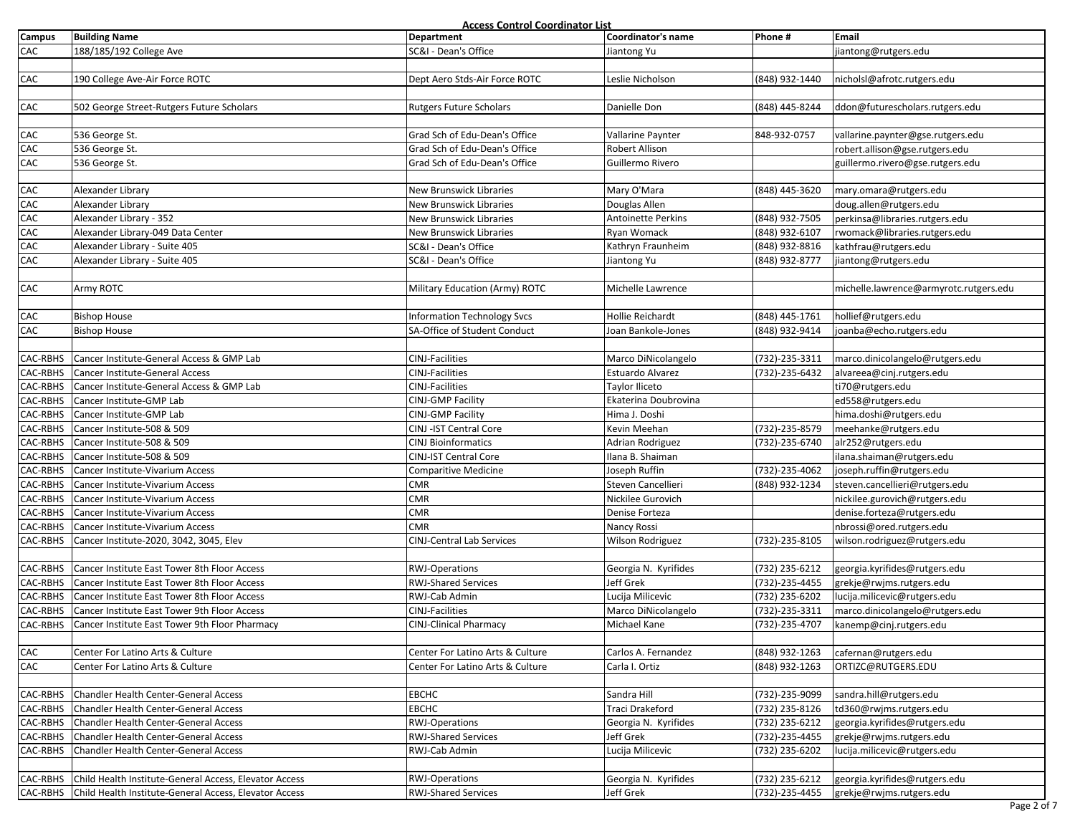| <b>Campus</b>   | <b>Building Name</b>                                            | Access Control Coordinator List<br>Department | Coordinator's name        | Phone #        | Email                                  |
|-----------------|-----------------------------------------------------------------|-----------------------------------------------|---------------------------|----------------|----------------------------------------|
| CAC             | 188/185/192 College Ave                                         | SC&I - Dean's Office                          |                           |                |                                        |
|                 |                                                                 |                                               | Jiantong Yu               |                | jiantong@rutgers.edu                   |
|                 |                                                                 |                                               |                           |                |                                        |
| CAC             | 190 College Ave-Air Force ROTC                                  | Dept Aero Stds-Air Force ROTC                 | Leslie Nicholson          | (848) 932-1440 | nicholsl@afrotc.rutgers.edu            |
|                 |                                                                 |                                               |                           |                |                                        |
| CAC             | 502 George Street-Rutgers Future Scholars                       | <b>Rutgers Future Scholars</b>                | Danielle Don              | (848) 445-8244 | ddon@futurescholars.rutgers.edu        |
|                 |                                                                 |                                               |                           |                |                                        |
| CAC             | 536 George St.                                                  | Grad Sch of Edu-Dean's Office                 | Vallarine Paynter         | 848-932-0757   | vallarine.paynter@gse.rutgers.edu      |
| CAC             | 536 George St.                                                  | Grad Sch of Edu-Dean's Office                 | Robert Allison            |                | robert.allison@gse.rutgers.edu         |
| CAC             | 536 George St.                                                  | Grad Sch of Edu-Dean's Office                 | Guillermo Rivero          |                | guillermo.rivero@gse.rutgers.edu       |
|                 |                                                                 |                                               |                           |                |                                        |
| CAC             | Alexander Library                                               | New Brunswick Libraries                       | Mary O'Mara               | (848) 445-3620 | mary.omara@rutgers.edu                 |
| CAC             | Alexander Library                                               | New Brunswick Libraries                       | Douglas Allen             |                | doug.allen@rutgers.edu                 |
| CAC             | Alexander Library - 352                                         | New Brunswick Libraries                       | <b>Antoinette Perkins</b> | (848) 932-7505 | perkinsa@libraries.rutgers.edu         |
| CAC             | Alexander Library-049 Data Center                               | New Brunswick Libraries                       | Ryan Womack               | (848) 932-6107 | rwomack@libraries.rutgers.edu          |
| CAC             | Alexander Library - Suite 405                                   | SC&I - Dean's Office                          | Kathryn Fraunheim         | (848) 932-8816 | kathfrau@rutgers.edu                   |
| CAC             | Alexander Library - Suite 405                                   | SC&I - Dean's Office                          | Jiantong Yu               | (848) 932-8777 | jiantong@rutgers.edu                   |
|                 |                                                                 |                                               |                           |                |                                        |
|                 |                                                                 |                                               |                           |                |                                        |
| CAC             | Army ROTC                                                       | Military Education (Army) ROTC                | Michelle Lawrence         |                | michelle.lawrence@armyrotc.rutgers.edu |
|                 |                                                                 |                                               |                           |                |                                        |
| CAC             | <b>Bishop House</b>                                             | <b>Information Technology Svcs</b>            | Hollie Reichardt          | (848) 445-1761 | hollief@rutgers.edu                    |
| CAC             | <b>Bishop House</b>                                             | SA-Office of Student Conduct                  | Joan Bankole-Jones        | (848) 932-9414 | joanba@echo.rutgers.edu                |
|                 |                                                                 |                                               |                           |                |                                        |
| CAC-RBHS        | Cancer Institute-General Access & GMP Lab                       | <b>CINJ-Facilities</b>                        | Marco DiNicolangelo       | (732)-235-3311 | marco.dinicolangelo@rutgers.edu        |
| CAC-RBHS        | Cancer Institute-General Access                                 | CINJ-Facilities                               | Estuardo Alvarez          | (732)-235-6432 | alvareea@cinj.rutgers.edu              |
| <b>CAC-RBHS</b> | Cancer Institute-General Access & GMP Lab                       | CINJ-Facilities                               | Taylor Iliceto            |                | ti70@rutgers.edu                       |
| CAC-RBHS        | Cancer Institute-GMP Lab                                        | CINJ-GMP Facility                             | Ekaterina Doubrovina      |                | ed558@rutgers.edu                      |
| CAC-RBHS        | Cancer Institute-GMP Lab                                        | <b>CINJ-GMP Facility</b>                      | Hima J. Doshi             |                | hima.doshi@rutgers.edu                 |
| CAC-RBHS        | Cancer Institute-508 & 509                                      | CINJ - IST Central Core                       | Kevin Meehan              | (732)-235-8579 | meehanke@rutgers.edu                   |
| CAC-RBHS        | Cancer Institute-508 & 509                                      | <b>CINJ Bioinformatics</b>                    | Adrian Rodriguez          | (732)-235-6740 | alr252@rutgers.edu                     |
| <b>CAC-RBHS</b> | Cancer Institute-508 & 509                                      | CINJ-IST Central Core                         | Ilana B. Shaiman          |                | ilana.shaiman@rutgers.edu              |
| CAC-RBHS        | Cancer Institute-Vivarium Access                                | <b>Comparitive Medicine</b>                   | Joseph Ruffin             | (732)-235-4062 | joseph.ruffin@rutgers.edu              |
| CAC-RBHS        | Cancer Institute-Vivarium Access                                | <b>CMR</b>                                    | Steven Cancellieri        | (848) 932-1234 | steven.cancellieri@rutgers.edu         |
| CAC-RBHS        |                                                                 | <b>CMR</b>                                    |                           |                |                                        |
|                 | Cancer Institute-Vivarium Access                                |                                               | Nickilee Gurovich         |                | nickilee.gurovich@rutgers.edu          |
| CAC-RBHS        | Cancer Institute-Vivarium Access                                | <b>CMR</b>                                    | Denise Forteza            |                | denise.forteza@rutgers.edu             |
| <b>CAC-RBHS</b> | Cancer Institute-Vivarium Access                                | <b>CMR</b>                                    | Nancy Rossi               |                | nbrossi@ored.rutgers.edu               |
| CAC-RBHS        | Cancer Institute-2020, 3042, 3045, Elev                         | <b>CINJ-Central Lab Services</b>              | Wilson Rodriguez          | (732)-235-8105 | wilson.rodriguez@rutgers.edu           |
|                 |                                                                 |                                               |                           |                |                                        |
| CAC-RBHS        | Cancer Institute East Tower 8th Floor Access                    | <b>RWJ-Operations</b>                         | Georgia N. Kyrifides      | (732) 235-6212 | georgia.kyrifides@rutgers.edu          |
| CAC-RBHS        | Cancer Institute East Tower 8th Floor Access                    | <b>RWJ-Shared Services</b>                    | Jeff Grek                 | (732)-235-4455 | grekje@rwjms.rutgers.edu               |
| CAC-RBHS        | Cancer Institute East Tower 8th Floor Access                    | RWJ-Cab Admin                                 | Lucija Milicevic          | (732) 235-6202 | lucija.milicevic@rutgers.edu           |
| CAC-RBHS        | Cancer Institute East Tower 9th Floor Access                    | CINJ-Facilities                               | Marco DiNicolangelo       | (732)-235-3311 | marco.dinicolangelo@rutgers.edu        |
| CAC-RBHS        | Cancer Institute East Tower 9th Floor Pharmacy                  | <b>CINJ-Clinical Pharmacy</b>                 | Michael Kane              | (732)-235-4707 | kanemp@cinj.rutgers.edu                |
|                 |                                                                 |                                               |                           |                |                                        |
| CAC             | Center For Latino Arts & Culture                                | Center For Latino Arts & Culture              | Carlos A. Fernandez       | (848) 932-1263 | cafernan@rutgers.edu                   |
| CAC             | Center For Latino Arts & Culture                                | Center For Latino Arts & Culture              | Carla I. Ortiz            | (848) 932-1263 | ORTIZC@RUTGERS.EDU                     |
|                 |                                                                 |                                               |                           |                |                                        |
| CAC-RBHS        | Chandler Health Center-General Access                           | <b>EBCHC</b>                                  | Sandra Hill               | (732)-235-9099 | sandra.hill@rutgers.edu                |
| CAC-RBHS        | Chandler Health Center-General Access                           | <b>EBCHC</b>                                  | Traci Drakeford           | (732) 235-8126 | td360@rwjms.rutgers.edu                |
| <b>CAC-RBHS</b> | Chandler Health Center-General Access                           | <b>RWJ-Operations</b>                         | Georgia N. Kyrifides      | (732) 235-6212 | georgia.kyrifides@rutgers.edu          |
|                 | Chandler Health Center-General Access                           | <b>RWJ-Shared Services</b>                    |                           |                |                                        |
| CAC-RBHS        |                                                                 |                                               | Jeff Grek                 | (732)-235-4455 | grekje@rwjms.rutgers.edu               |
| CAC-RBHS        | Chandler Health Center-General Access                           | RWJ-Cab Admin                                 | Lucija Milicevic          | (732) 235-6202 | lucija.milicevic@rutgers.edu           |
|                 |                                                                 |                                               |                           |                |                                        |
|                 | CAC-RBHS Child Health Institute-General Access, Elevator Access | <b>RWJ-Operations</b>                         | Georgia N. Kyrifides      | (732) 235-6212 | georgia.kyrifides@rutgers.edu          |
|                 | CAC-RBHS Child Health Institute-General Access, Elevator Access | <b>RWJ-Shared Services</b>                    | Jeff Grek                 | (732)-235-4455 | grekje@rwjms.rutgers.edu               |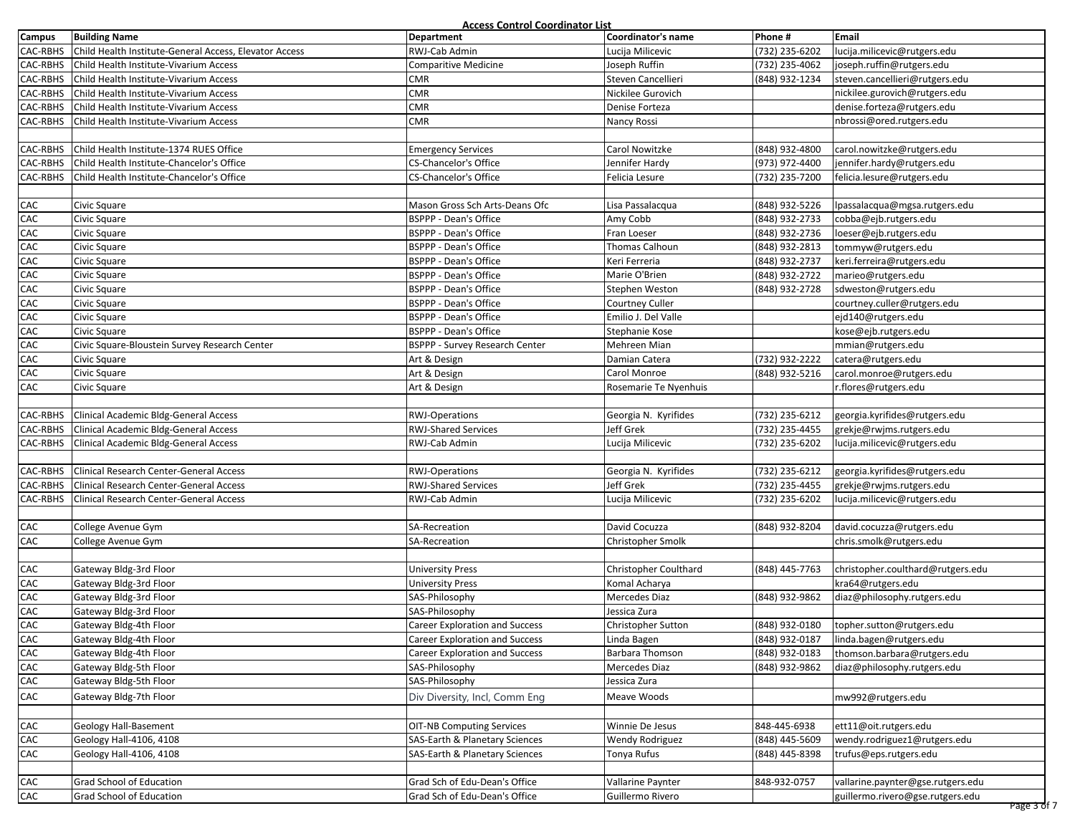| <b>Access Control Coordinator List</b> |  |  |
|----------------------------------------|--|--|
|                                        |  |  |

|               |                                                        | Access Control Coordinator List       |                        |                |                                   |
|---------------|--------------------------------------------------------|---------------------------------------|------------------------|----------------|-----------------------------------|
| <b>Campus</b> | <b>Building Name</b>                                   | Department                            | Coordinator's name     | Phone #        | Email                             |
| CAC-RBHS      | Child Health Institute-General Access, Elevator Access | RWJ-Cab Admin                         | Lucija Milicevic       | (732) 235-6202 | lucija.milicevic@rutgers.edu      |
| CAC-RBHS      | Child Health Institute-Vivarium Access                 | Comparitive Medicine                  | Joseph Ruffin          | (732) 235-4062 | joseph.ruffin@rutgers.edu         |
| CAC-RBHS      | Child Health Institute-Vivarium Access                 | <b>CMR</b>                            | Steven Cancellieri     | (848) 932-1234 | steven.cancellieri@rutgers.edu    |
| CAC-RBHS      | Child Health Institute-Vivarium Access                 | <b>CMR</b>                            | Nickilee Gurovich      |                | nickilee.gurovich@rutgers.edu     |
| CAC-RBHS      | Child Health Institute-Vivarium Access                 | $\sf CMR$                             | Denise Forteza         |                | denise.forteza@rutgers.edu        |
| CAC-RBHS      | Child Health Institute-Vivarium Access                 | <b>CMR</b>                            | Nancy Rossi            |                | nbrossi@ored.rutgers.edu          |
|               |                                                        |                                       |                        |                |                                   |
| CAC-RBHS      | Child Health Institute-1374 RUES Office                | <b>Emergency Services</b>             | Carol Nowitzke         | (848) 932-4800 | carol.nowitzke@rutgers.edu        |
| CAC-RBHS      | Child Health Institute-Chancelor's Office              | CS-Chancelor's Office                 | Jennifer Hardy         | (973) 972-4400 | jennifer.hardy@rutgers.edu        |
| CAC-RBHS      | Child Health Institute-Chancelor's Office              | CS-Chancelor's Office                 | Felicia Lesure         | (732) 235-7200 | felicia.lesure@rutgers.edu        |
|               |                                                        |                                       |                        |                |                                   |
| CAC           | Civic Square                                           | Mason Gross Sch Arts-Deans Ofc        | Lisa Passalacqua       | (848) 932-5226 | lpassalacqua@mgsa.rutgers.edu     |
| CAC           | Civic Square                                           | BSPPP - Dean's Office                 | Amy Cobb               | (848) 932-2733 | cobba@ejb.rutgers.edu             |
| CAC           | Civic Square                                           | <b>BSPPP - Dean's Office</b>          | Fran Loeser            | (848) 932-2736 | loeser@ejb.rutgers.edu            |
| CAC           | Civic Square                                           | <b>BSPPP - Dean's Office</b>          | Thomas Calhoun         | (848) 932-2813 | tommyw@rutgers.edu                |
| CAC           | Civic Square                                           | <b>BSPPP - Dean's Office</b>          | Keri Ferreria          | (848) 932-2737 | keri.ferreira@rutgers.edu         |
| CAC           | Civic Square                                           | <b>BSPPP - Dean's Office</b>          | Marie O'Brien          | (848) 932-2722 | marieo@rutgers.edu                |
| CAC           | Civic Square                                           | <b>BSPPP - Dean's Office</b>          | Stephen Weston         | (848) 932-2728 | sdweston@rutgers.edu              |
| ${\sf CAC}$   | Civic Square                                           | BSPPP - Dean's Office                 | Courtney Culler        |                | courtney.culler@rutgers.edu       |
| CAC           | Civic Square                                           | BSPPP - Dean's Office                 | Emilio J. Del Valle    |                | ejd140@rutgers.edu                |
| CAC           | Civic Square                                           | BSPPP - Dean's Office                 | Stephanie Kose         |                | kose@ejb.rutgers.edu              |
| CAC           | Civic Square-Bloustein Survey Research Center          |                                       |                        |                |                                   |
|               |                                                        | BSPPP - Survey Research Center        | Mehreen Mian           | (732) 932-2222 | mmian@rutgers.edu                 |
| ${\sf CAC}$   | Civic Square                                           | Art & Design                          | Damian Catera          |                | catera@rutgers.edu                |
| CAC           | Civic Square                                           | Art & Design                          | Carol Monroe           | (848) 932-5216 | carol.monroe@rutgers.edu          |
| CAC           | Civic Square                                           | Art & Design                          | Rosemarie Te Nyenhuis  |                | r.flores@rutgers.edu              |
|               |                                                        |                                       |                        |                |                                   |
| CAC-RBHS      | Clinical Academic Bldg-General Access                  | RWJ-Operations                        | Georgia N. Kyrifides   | (732) 235-6212 | georgia.kyrifides@rutgers.edu     |
| CAC-RBHS      | Clinical Academic Bldg-General Access                  | RWJ-Shared Services                   | Jeff Grek              | (732) 235-4455 | grekje@rwjms.rutgers.edu          |
| CAC-RBHS      | Clinical Academic Bldg-General Access                  | RWJ-Cab Admin                         | Lucija Milicevic       | (732) 235-6202 | lucija.milicevic@rutgers.edu      |
|               |                                                        |                                       |                        |                |                                   |
| CAC-RBHS      | Clinical Research Center-General Access                | <b>RWJ-Operations</b>                 | Georgia N. Kyrifides   | (732) 235-6212 | georgia.kyrifides@rutgers.edu     |
| CAC-RBHS      | Clinical Research Center-General Access                | <b>RWJ-Shared Services</b>            | Jeff Grek              | (732) 235-4455 | grekje@rwjms.rutgers.edu          |
| CAC-RBHS      | Clinical Research Center-General Access                | RWJ-Cab Admin                         | Lucija Milicevic       | (732) 235-6202 | lucija.milicevic@rutgers.edu      |
|               |                                                        |                                       |                        |                |                                   |
| CAC           | College Avenue Gym                                     | SA-Recreation                         | David Cocuzza          | (848) 932-8204 | david.cocuzza@rutgers.edu         |
| CAC           | College Avenue Gym                                     | SA-Recreation                         | Christopher Smolk      |                | chris.smolk@rutgers.edu           |
|               |                                                        |                                       |                        |                |                                   |
| CAC           | Gateway Bldg-3rd Floor                                 | <b>University Press</b>               | Christopher Coulthard  | (848) 445-7763 | christopher.coulthard@rutgers.edu |
| CAC           | Gateway Bldg-3rd Floor                                 | <b>University Press</b>               | Komal Acharya          |                | kra64@rutgers.edu                 |
| CAC           | Gateway Bldg-3rd Floor                                 | SAS-Philosophy                        | Mercedes Diaz          | (848) 932-9862 | diaz@philosophy.rutgers.edu       |
| CAC           | Gateway Bldg-3rd Floor                                 | SAS-Philosophy                        | Jessica Zura           |                |                                   |
| CAC           | Gateway Bldg-4th Floor                                 | <b>Career Exploration and Success</b> | Christopher Sutton     | (848) 932-0180 | topher.sutton@rutgers.edu         |
| CAC           | Gateway Bldg-4th Floor                                 | Career Exploration and Success        | Linda Bagen            | (848) 932-0187 | linda.bagen@rutgers.edu           |
| CAC           | Gateway Bldg-4th Floor                                 | Career Exploration and Success        | <b>Barbara Thomson</b> | (848) 932-0183 | thomson.barbara@rutgers.edu       |
| CAC           | Gateway Bldg-5th Floor                                 | SAS-Philosophy                        | Mercedes Diaz          | (848) 932-9862 | diaz@philosophy.rutgers.edu       |
| ${\sf CAC}$   | Gateway Bldg-5th Floor                                 | SAS-Philosophy                        | Jessica Zura           |                |                                   |
| CAC           | Gateway Bldg-7th Floor                                 | Div Diversity, Incl, Comm Eng         | Meave Woods            |                | mw992@rutgers.edu                 |
|               |                                                        |                                       |                        |                |                                   |
| CAC           | Geology Hall-Basement                                  | <b>OIT-NB Computing Services</b>      | Winnie De Jesus        | 848-445-6938   | ett11@oit.rutgers.edu             |
| CAC           | Geology Hall-4106, 4108                                | SAS-Earth & Planetary Sciences        | <b>Wendy Rodriguez</b> | (848) 445-5609 | wendy.rodriguez1@rutgers.edu      |
| CAC           | Geology Hall-4106, 4108                                | SAS-Earth & Planetary Sciences        | Tonya Rufus            | (848) 445-8398 | trufus@eps.rutgers.edu            |
|               |                                                        |                                       |                        |                |                                   |
| CAC           | Grad School of Education                               | Grad Sch of Edu-Dean's Office         |                        | 848-932-0757   |                                   |
|               |                                                        |                                       | Vallarine Paynter      |                | vallarine.paynter@gse.rutgers.edu |
| CAC           | Grad School of Education                               | Grad Sch of Edu-Dean's Office         | Guillermo Rivero       |                | guillermo.rivero@gse.rutgers.edu  |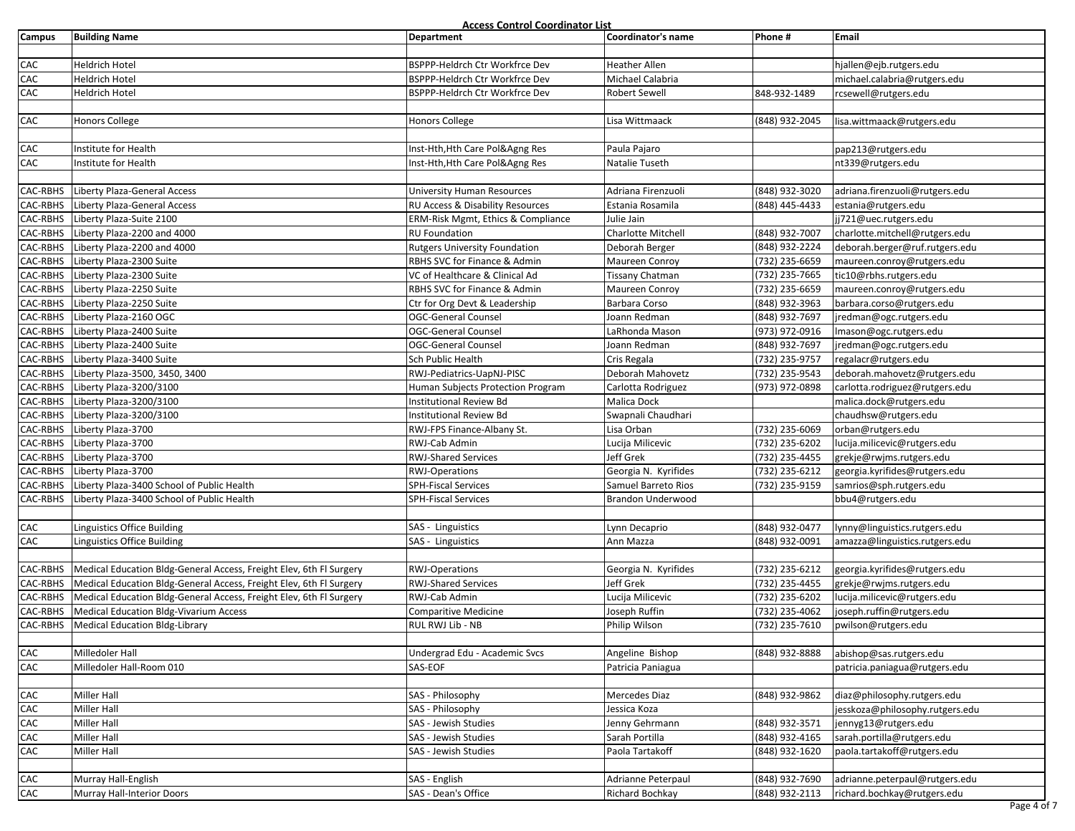|               |                                                                     | Access Control Coordinator List      |                      |                |                                 |
|---------------|---------------------------------------------------------------------|--------------------------------------|----------------------|----------------|---------------------------------|
| <b>Campus</b> | <b>Building Name</b>                                                | Department                           | Coordinator's name   | Phone#         | Email                           |
|               |                                                                     |                                      |                      |                |                                 |
| CAC           | Heldrich Hotel                                                      | BSPPP-Heldrch Ctr Workfrce Dev       | Heather Allen        |                | hjallen@ejb.rutgers.edu         |
| CAC           | Heldrich Hotel                                                      | BSPPP-Heldrch Ctr Workfrce Dev       | Michael Calabria     |                | michael.calabria@rutgers.edu    |
| ${\sf CAC}$   | <b>Heldrich Hotel</b>                                               | BSPPP-Heldrch Ctr Workfrce Dev       | Robert Sewell        | 848-932-1489   | rcsewell@rutgers.edu            |
|               |                                                                     |                                      |                      |                |                                 |
| CAC           | <b>Honors College</b>                                               | Honors College                       | Lisa Wittmaack       | (848) 932-2045 | lisa.wittmaack@rutgers.edu      |
|               |                                                                     |                                      |                      |                |                                 |
| CAC           | Institute for Health                                                | Inst-Hth, Hth Care Pol&Agng Res      | Paula Pajaro         |                | pap213@rutgers.edu              |
| CAC           | Institute for Health                                                | Inst-Hth, Hth Care Pol&Agng Res      | Natalie Tuseth       |                | nt339@rutgers.edu               |
|               |                                                                     |                                      |                      |                |                                 |
| CAC-RBHS      | Liberty Plaza-General Access                                        | <b>University Human Resources</b>    | Adriana Firenzuoli   | (848) 932-3020 | adriana.firenzuoli@rutgers.edu  |
| CAC-RBHS      | Liberty Plaza-General Access                                        | RU Access & Disability Resources     | Estania Rosamila     | (848) 445-4433 | estania@rutgers.edu             |
| CAC-RBHS      | Liberty Plaza-Suite 2100                                            | ERM-Risk Mgmt, Ethics & Compliance   | Julie Jain           |                | jj721@uec.rutgers.edu           |
| CAC-RBHS      | Liberty Plaza-2200 and 4000                                         | <b>RU Foundation</b>                 | Charlotte Mitchell   | (848) 932-7007 | charlotte.mitchell@rutgers.edu  |
| CAC-RBHS      | Liberty Plaza-2200 and 4000                                         | <b>Rutgers University Foundation</b> | Deborah Berger       | (848) 932-2224 | deborah.berger@ruf.rutgers.edu  |
| CAC-RBHS      | Liberty Plaza-2300 Suite                                            | RBHS SVC for Finance & Admin         | Maureen Conroy       | (732) 235-6659 | maureen.conroy@rutgers.edu      |
| CAC-RBHS      | Liberty Plaza-2300 Suite                                            | VC of Healthcare & Clinical Ad       | Tissany Chatman      | (732) 235-7665 | tic10@rbhs.rutgers.edu          |
| CAC-RBHS      | Liberty Plaza-2250 Suite                                            | RBHS SVC for Finance & Admin         | Maureen Conroy       | (732) 235-6659 | maureen.conroy@rutgers.edu      |
| CAC-RBHS      | Liberty Plaza-2250 Suite                                            | Ctr for Org Devt & Leadership        | Barbara Corso        | (848) 932-3963 | barbara.corso@rutgers.edu       |
| CAC-RBHS      | Liberty Plaza-2160 OGC                                              | OGC-General Counsel                  | Joann Redman         | (848) 932-7697 | jredman@ogc.rutgers.edu         |
| CAC-RBHS      | Liberty Plaza-2400 Suite                                            | <b>OGC-General Counsel</b>           | LaRhonda Mason       | (973) 972-0916 | Imason@ogc.rutgers.edu          |
| CAC-RBHS      | Liberty Plaza-2400 Suite                                            | <b>OGC-General Counsel</b>           | Joann Redman         | (848) 932-7697 | jredman@ogc.rutgers.edu         |
| CAC-RBHS      | Liberty Plaza-3400 Suite                                            | Sch Public Health                    | Cris Regala          | (732) 235-9757 | regalacr@rutgers.edu            |
| CAC-RBHS      | Liberty Plaza-3500, 3450, 3400                                      | RWJ-Pediatrics-UapNJ-PISC            | Deborah Mahovetz     | (732) 235-9543 | deborah.mahovetz@rutgers.edu    |
| CAC-RBHS      | Liberty Plaza-3200/3100                                             | Human Subjects Protection Program    | Carlotta Rodriguez   | (973) 972-0898 | carlotta.rodriguez@rutgers.edu  |
| CAC-RBHS      | Liberty Plaza-3200/3100                                             | <b>Institutional Review Bd</b>       | Malica Dock          |                | malica.dock@rutgers.edu         |
| CAC-RBHS      | Liberty Plaza-3200/3100                                             | <b>Institutional Review Bd</b>       | Swapnali Chaudhari   |                | chaudhsw@rutgers.edu            |
| CAC-RBHS      | Liberty Plaza-3700                                                  | RWJ-FPS Finance-Albany St.           | Lisa Orban           | (732) 235-6069 | orban@rutgers.edu               |
| CAC-RBHS      | Liberty Plaza-3700                                                  | RWJ-Cab Admin                        | Lucija Milicevic     | (732) 235-6202 | lucija.milicevic@rutgers.edu    |
| CAC-RBHS      | Liberty Plaza-3700                                                  | <b>RWJ-Shared Services</b>           | Jeff Grek            | (732) 235-4455 | grekje@rwjms.rutgers.edu        |
| CAC-RBHS      | Liberty Plaza-3700                                                  | RWJ-Operations                       | Georgia N. Kyrifides | (732) 235-6212 | georgia.kyrifides@rutgers.edu   |
| CAC-RBHS      | Liberty Plaza-3400 School of Public Health                          | SPH-Fiscal Services                  | Samuel Barreto Rios  | (732) 235-9159 | samrios@sph.rutgers.edu         |
| CAC-RBHS      | Liberty Plaza-3400 School of Public Health                          | <b>SPH-Fiscal Services</b>           | Brandon Underwood    |                | bbu4@rutgers.edu                |
|               |                                                                     |                                      |                      |                |                                 |
| CAC           | Linguistics Office Building                                         | SAS - Linguistics                    | Lynn Decaprio        | (848) 932-0477 | lynny@linguistics.rutgers.edu   |
| CAC           | Linguistics Office Building                                         | SAS - Linguistics                    | Ann Mazza            | (848) 932-0091 | amazza@linguistics.rutgers.edu  |
|               |                                                                     |                                      |                      |                |                                 |
| CAC-RBHS      | Medical Education Bldg-General Access, Freight Elev, 6th Fl Surgery | <b>RWJ-Operations</b>                | Georgia N. Kyrifides | (732) 235-6212 | georgia.kyrifides@rutgers.edu   |
| CAC-RBHS      | Medical Education Bldg-General Access, Freight Elev, 6th Fl Surgery | <b>RWJ-Shared Services</b>           | Jeff Grek            | (732) 235-4455 | grekje@rwjms.rutgers.edu        |
| CAC-RBHS      | Medical Education Bldg-General Access, Freight Elev, 6th Fl Surgery | RWJ-Cab Admin                        | Lucija Milicevic     | (732) 235-6202 | lucija.milicevic@rutgers.edu    |
| CAC-RBHS      | Medical Education Bldg-Vivarium Access                              | Comparitive Medicine                 | Joseph Ruffin        | (732) 235-4062 | joseph.ruffin@rutgers.edu       |
| CAC-RBHS      | Medical Education Bldg-Library                                      | RUL RWJ Lib - NB                     | Philip Wilson        | (732) 235-7610 | pwilson@rutgers.edu             |
|               |                                                                     |                                      |                      |                |                                 |
| CAC           | Milledoler Hall                                                     | Undergrad Edu - Academic Svcs        | Angeline Bishop      | (848) 932-8888 | abishop@sas.rutgers.edu         |
| CAC           | Milledoler Hall-Room 010                                            | SAS-EOF                              | Patricia Paniagua    |                | patricia.paniagua@rutgers.edu   |
|               |                                                                     |                                      |                      |                |                                 |
| CAC           | Miller Hall                                                         | SAS - Philosophy                     | Mercedes Diaz        | (848) 932-9862 | diaz@philosophy.rutgers.edu     |
| CAC           | Miller Hall                                                         | SAS - Philosophy                     | Jessica Koza         |                | jesskoza@philosophy.rutgers.edu |
| CAC           | Miller Hall                                                         | SAS - Jewish Studies                 | Jenny Gehrmann       | (848) 932-3571 | jennyg13@rutgers.edu            |
| CAC           | Miller Hall                                                         | SAS - Jewish Studies                 | Sarah Portilla       | (848) 932-4165 | sarah.portilla@rutgers.edu      |
| CAC           | Miller Hall                                                         | SAS - Jewish Studies                 | Paola Tartakoff      | (848) 932-1620 | paola.tartakoff@rutgers.edu     |
|               |                                                                     |                                      |                      |                |                                 |
| CAC           | Murray Hall-English                                                 | SAS - English                        | Adrianne Peterpaul   | (848) 932-7690 | adrianne.peterpaul@rutgers.edu  |
| CAC           | Murray Hall-Interior Doors                                          | SAS - Dean's Office                  | Richard Bochkay      | (848) 932-2113 | richard.bochkay@rutgers.edu     |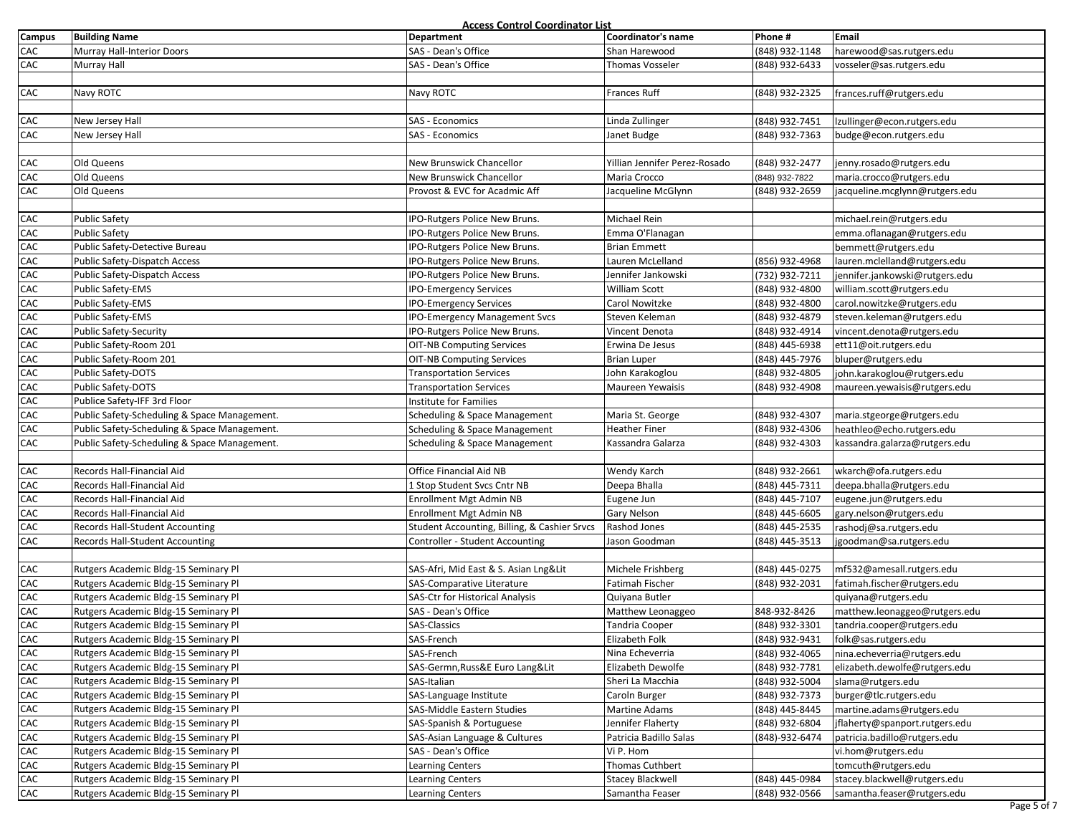| <b>Campus</b> | <b>Building Name</b>                         | Access Control Coordinator List<br>Department        | Coordinator's name             | Phone #        | Email                          |
|---------------|----------------------------------------------|------------------------------------------------------|--------------------------------|----------------|--------------------------------|
| CAC           | Murray Hall-Interior Doors                   | SAS - Dean's Office                                  | Shan Harewood                  | (848) 932-1148 | harewood@sas.rutgers.edu       |
| CAC           | <b>Murray Hall</b>                           | SAS - Dean's Office                                  | <b>Thomas Vosseler</b>         | (848) 932-6433 | vosseler@sas.rutgers.edu       |
|               |                                              |                                                      |                                |                |                                |
| CAC           | Navy ROTC                                    | Navy ROTC                                            | Frances Ruff                   | (848) 932-2325 | frances.ruff@rutgers.edu       |
|               |                                              |                                                      |                                |                |                                |
| CAC           |                                              | SAS - Economics                                      |                                | (848) 932-7451 | lzullinger@econ.rutgers.edu    |
| CAC           | New Jersey Hall<br>New Jersey Hall           | SAS - Economics                                      | Linda Zullinger<br>Janet Budge | (848) 932-7363 |                                |
|               |                                              |                                                      |                                |                | budge@econ.rutgers.edu         |
| CAC           | Old Queens                                   |                                                      | Yillian Jennifer Perez-Rosado  | (848) 932-2477 | jenny.rosado@rutgers.edu       |
| CAC           | Old Queens                                   | New Brunswick Chancellor<br>New Brunswick Chancellor | Maria Crocco                   | (848) 932-7822 | maria.crocco@rutgers.edu       |
| CAC           | Old Queens                                   | Provost & EVC for Acadmic Aff                        |                                | (848) 932-2659 | jacqueline.mcglynn@rutgers.edu |
|               |                                              |                                                      | Jacqueline McGlynn             |                |                                |
| CAC           | <b>Public Safety</b>                         |                                                      | Michael Rein                   |                |                                |
|               |                                              | IPO-Rutgers Police New Bruns.                        |                                |                | michael.rein@rutgers.edu       |
| CAC           | <b>Public Safety</b>                         | IPO-Rutgers Police New Bruns.                        | Emma O'Flanagan                |                | emma.oflanagan@rutgers.edu     |
| CAC<br>CAC    | Public Safety-Detective Bureau               | IPO-Rutgers Police New Bruns.                        | <b>Brian Emmett</b>            |                | bemmett@rutgers.edu            |
|               | Public Safety-Dispatch Access                | IPO-Rutgers Police New Bruns.                        | Lauren McLelland               | (856) 932-4968 | lauren.mclelland@rutgers.edu   |
| CAC           | Public Safety-Dispatch Access                | IPO-Rutgers Police New Bruns.                        | Jennifer Jankowski             | (732) 932-7211 | jennifer.jankowski@rutgers.edu |
| CAC           | Public Safety-EMS                            | <b>IPO-Emergency Services</b>                        | William Scott                  | (848) 932-4800 | william.scott@rutgers.edu      |
| CAC           | Public Safety-EMS                            | <b>IPO-Emergency Services</b>                        | Carol Nowitzke                 | (848) 932-4800 | carol.nowitzke@rutgers.edu     |
| CAC           | Public Safety-EMS                            | <b>IPO-Emergency Management Svcs</b>                 | Steven Keleman                 | (848) 932-4879 | steven.keleman@rutgers.edu     |
| CAC           | Public Safety-Security                       | IPO-Rutgers Police New Bruns.                        | Vincent Denota                 | (848) 932-4914 | vincent.denota@rutgers.edu     |
| CAC           | Public Safety-Room 201                       | <b>OIT-NB Computing Services</b>                     | Erwina De Jesus                | (848) 445-6938 | ett11@oit.rutgers.edu          |
| CAC           | Public Safety-Room 201                       | <b>OIT-NB Computing Services</b>                     | <b>Brian Luper</b>             | (848) 445-7976 | bluper@rutgers.edu             |
| CAC           | Public Safety-DOTS                           | <b>Transportation Services</b>                       | John Karakoglou                | (848) 932-4805 | john.karakoglou@rutgers.edu    |
| CAC           | Public Safety-DOTS                           | <b>Transportation Services</b>                       | Maureen Yewaisis               | (848) 932-4908 | maureen.yewaisis@rutgers.edu   |
| CAC           | Publice Safety-IFF 3rd Floor                 | Institute for Families                               |                                |                |                                |
| CAC           | Public Safety-Scheduling & Space Management. | Scheduling & Space Management                        | Maria St. George               | (848) 932-4307 | maria.stgeorge@rutgers.edu     |
| CAC           | Public Safety-Scheduling & Space Management. | Scheduling & Space Management                        | <b>Heather Finer</b>           | (848) 932-4306 | heathleo@echo.rutgers.edu      |
| CAC           | Public Safety-Scheduling & Space Management. | Scheduling & Space Management                        | Kassandra Galarza              | (848) 932-4303 | kassandra.galarza@rutgers.edu  |
|               |                                              |                                                      |                                |                |                                |
| CAC           | Records Hall-Financial Aid                   | Office Financial Aid NB                              | Wendy Karch                    | (848) 932-2661 | wkarch@ofa.rutgers.edu         |
| CAC           | Records Hall-Financial Aid                   | 1 Stop Student Svcs Cntr NB                          | Deepa Bhalla                   | (848) 445-7311 | deepa.bhalla@rutgers.edu       |
| CAC           | Records Hall-Financial Aid                   | Enrollment Mgt Admin NB                              | Eugene Jun                     | (848) 445-7107 | eugene.jun@rutgers.edu         |
| CAC           | Records Hall-Financial Aid                   | Enrollment Mgt Admin NB                              | Gary Nelson                    | (848) 445-6605 | gary.nelson@rutgers.edu        |
| CAC           | Records Hall-Student Accounting              | Student Accounting, Billing, & Cashier Srvcs         | Rashod Jones                   | (848) 445-2535 | rashodj@sa.rutgers.edu         |
| CAC           | <b>Records Hall-Student Accounting</b>       | Controller - Student Accounting                      | Jason Goodman                  | (848) 445-3513 | jgoodman@sa.rutgers.edu        |
|               |                                              |                                                      |                                |                |                                |
| CAC           | Rutgers Academic Bldg-15 Seminary Pl         | SAS-Afri, Mid East & S. Asian Lng&Lit                | Michele Frishberg              | (848) 445-0275 | mf532@amesall.rutgers.edu      |
| CAC           | Rutgers Academic Bldg-15 Seminary Pl         | SAS-Comparative Literature                           | Fatimah Fischer                | (848) 932-2031 | fatimah.fischer@rutgers.edu    |
| CAC           | Rutgers Academic Bldg-15 Seminary Pl         | SAS-Ctr for Historical Analysis                      | Quiyana Butler                 |                | quiyana@rutgers.edu            |
| CAC           | Rutgers Academic Bldg-15 Seminary Pl         | SAS - Dean's Office                                  | Matthew Leonaggeo              | 848-932-8426   | matthew.leonaggeo@rutgers.edu  |
| CAC           | Rutgers Academic Bldg-15 Seminary Pl         | <b>SAS-Classics</b>                                  | Tandria Cooper                 | (848) 932-3301 | tandria.cooper@rutgers.edu     |
| CAC           | Rutgers Academic Bldg-15 Seminary Pl         | SAS-French                                           | Elizabeth Folk                 | (848) 932-9431 | folk@sas.rutgers.edu           |
| CAC           | Rutgers Academic Bldg-15 Seminary Pl         | SAS-French                                           | Nina Echeverria                | (848) 932-4065 | nina.echeverria@rutgers.edu    |
| CAC           | Rutgers Academic Bldg-15 Seminary Pl         | SAS-Germn, Russ&E Euro Lang&Lit                      | Elizabeth Dewolfe              | (848) 932-7781 | elizabeth.dewolfe@rutgers.edu  |
| CAC           | Rutgers Academic Bldg-15 Seminary Pl         | SAS-Italian                                          | Sheri La Macchia               | (848) 932-5004 | slama@rutgers.edu              |
| CAC           | Rutgers Academic Bldg-15 Seminary Pl         | SAS-Language Institute                               | Caroln Burger                  | (848) 932-7373 | burger@tlc.rutgers.edu         |
| CAC           | Rutgers Academic Bldg-15 Seminary Pl         | SAS-Middle Eastern Studies                           | Martine Adams                  | (848) 445-8445 | martine.adams@rutgers.edu      |
| CAC           | Rutgers Academic Bldg-15 Seminary Pl         | SAS-Spanish & Portuguese                             | Jennifer Flaherty              | (848) 932-6804 | jflaherty@spanport.rutgers.edu |
| CAC           | Rutgers Academic Bldg-15 Seminary Pl         | SAS-Asian Language & Cultures                        | Patricia Badillo Salas         | (848)-932-6474 | patricia.badillo@rutgers.edu   |
| CAC           | Rutgers Academic Bldg-15 Seminary Pl         | SAS - Dean's Office                                  | Vi P. Hom                      |                | vi.hom@rutgers.edu             |
| CAC           | Rutgers Academic Bldg-15 Seminary Pl         | <b>Learning Centers</b>                              | <b>Thomas Cuthbert</b>         |                | tomcuth@rutgers.edu            |
| CAC           | Rutgers Academic Bldg-15 Seminary Pl         | Learning Centers                                     | <b>Stacey Blackwell</b>        | (848) 445-0984 | stacey.blackwell@rutgers.edu   |
| CAC           | Rutgers Academic Bldg-15 Seminary Pl         | <b>Learning Centers</b>                              | Samantha Feaser                | (848) 932-0566 | samantha.feaser@rutgers.edu    |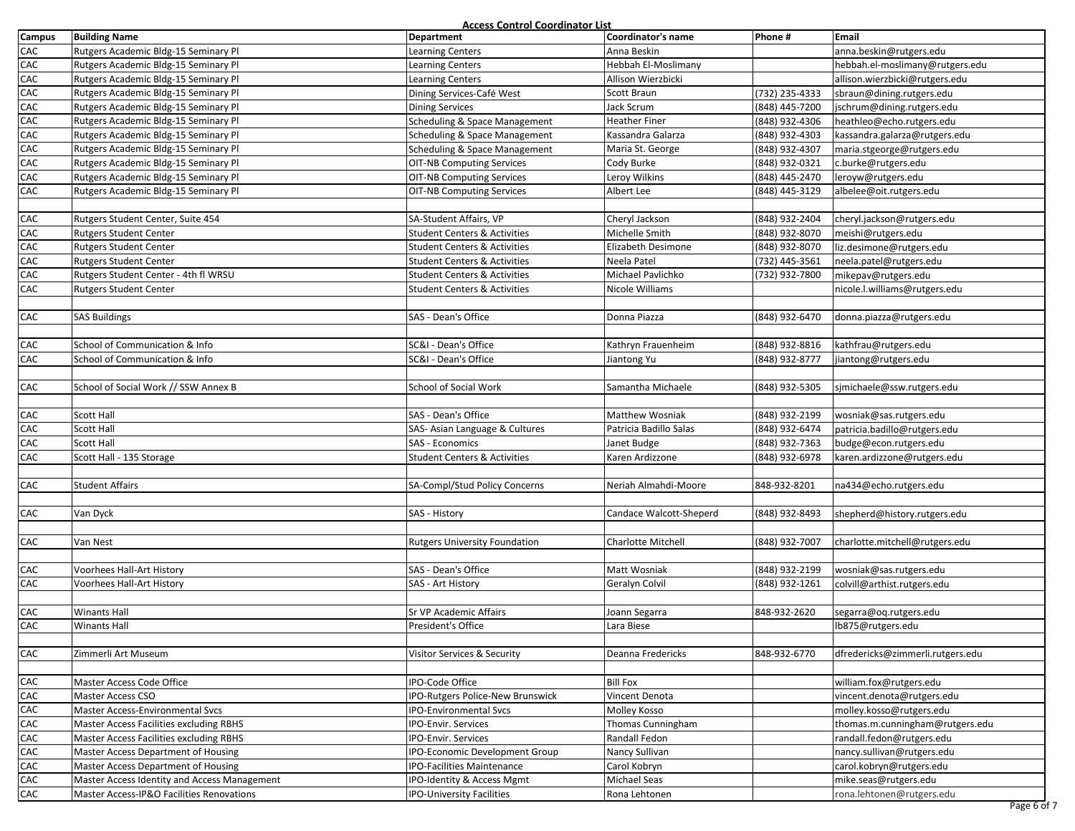|        |                                              | Access Control Coordinator List         |                         |                |                                  |
|--------|----------------------------------------------|-----------------------------------------|-------------------------|----------------|----------------------------------|
| Campus | <b>Building Name</b>                         | Department                              | Coordinator's name      | Phone #        | Email                            |
| CAC    | Rutgers Academic Bldg-15 Seminary Pl         | <b>Learning Centers</b>                 | Anna Beskin             |                | anna.beskin@rutgers.edu          |
| CAC    | Rutgers Academic Bldg-15 Seminary Pl         | <b>Learning Centers</b>                 | Hebbah El-Moslimany     |                | hebbah.el-moslimany@rutgers.edu  |
| CAC    | Rutgers Academic Bldg-15 Seminary Pl         | <b>Learning Centers</b>                 | Allison Wierzbicki      |                | allison.wierzbicki@rutgers.edu   |
| CAC    | Rutgers Academic Bldg-15 Seminary Pl         | Dining Services-Café West               | Scott Braun             | (732) 235-4333 | sbraun@dining.rutgers.edu        |
| CAC    | Rutgers Academic Bldg-15 Seminary Pl         | <b>Dining Services</b>                  | Jack Scrum              | (848) 445-7200 | jschrum@dining.rutgers.edu       |
| CAC    | Rutgers Academic Bldg-15 Seminary Pl         | Scheduling & Space Management           | <b>Heather Finer</b>    | (848) 932-4306 | heathleo@echo.rutgers.edu        |
| CAC    | Rutgers Academic Bldg-15 Seminary Pl         | Scheduling & Space Management           | Kassandra Galarza       | (848) 932-4303 | kassandra.galarza@rutgers.edu    |
| CAC    | Rutgers Academic Bldg-15 Seminary Pl         | Scheduling & Space Management           | Maria St. George        | (848) 932-4307 | maria.stgeorge@rutgers.edu       |
| CAC    | Rutgers Academic Bldg-15 Seminary Pl         | <b>OIT-NB Computing Services</b>        | Cody Burke              | (848) 932-0321 | c.burke@rutgers.edu              |
| CAC    | Rutgers Academic Bldg-15 Seminary Pl         | <b>OIT-NB Computing Services</b>        | Leroy Wilkins           | (848) 445-2470 | leroyw@rutgers.edu               |
| CAC    | Rutgers Academic Bldg-15 Seminary Pl         | <b>OIT-NB Computing Services</b>        | Albert Lee              | (848) 445-3129 | albelee@oit.rutgers.edu          |
|        |                                              |                                         |                         |                |                                  |
| CAC    | Rutgers Student Center, Suite 454            | SA-Student Affairs, VP                  | Cheryl Jackson          | (848) 932-2404 | cheryl.jackson@rutgers.edu       |
| CAC    | <b>Rutgers Student Center</b>                | <b>Student Centers &amp; Activities</b> | Michelle Smith          | (848) 932-8070 | meishi@rutgers.edu               |
| CAC    | <b>Rutgers Student Center</b>                | <b>Student Centers &amp; Activities</b> | Elizabeth Desimone      | (848) 932-8070 | liz.desimone@rutgers.edu         |
| CAC    | <b>Rutgers Student Center</b>                | <b>Student Centers &amp; Activities</b> | Neela Patel             | (732) 445-3561 | neela.patel@rutgers.edu          |
| CAC    | Rutgers Student Center - 4th fl WRSU         | <b>Student Centers &amp; Activities</b> | Michael Pavlichko       | (732) 932-7800 | mikepav@rutgers.edu              |
| CAC    | <b>Rutgers Student Center</b>                | <b>Student Centers &amp; Activities</b> | Nicole Williams         |                | nicole.l.williams@rutgers.edu    |
|        |                                              |                                         |                         |                |                                  |
| CAC    | <b>SAS Buildings</b>                         | SAS - Dean's Office                     | Donna Piazza            | (848) 932-6470 | donna.piazza@rutgers.edu         |
|        |                                              |                                         |                         |                |                                  |
| CAC    | School of Communication & Info               | SC&I - Dean's Office                    | Kathryn Frauenheim      | (848) 932-8816 | kathfrau@rutgers.edu             |
| CAC    | School of Communication & Info               | SC&I - Dean's Office                    | Jiantong Yu             | (848) 932-8777 | jiantong@rutgers.edu             |
|        |                                              |                                         |                         |                |                                  |
| CAC    | School of Social Work // SSW Annex B         | School of Social Work                   | Samantha Michaele       | (848) 932-5305 | sjmichaele@ssw.rutgers.edu       |
|        |                                              |                                         |                         |                |                                  |
| CAC    | Scott Hall                                   | SAS - Dean's Office                     | Matthew Wosniak         | (848) 932-2199 | wosniak@sas.rutgers.edu          |
| CAC    | <b>Scott Hall</b>                            | SAS- Asian Language & Cultures          | Patricia Badillo Salas  | (848) 932-6474 | patricia.badillo@rutgers.edu     |
| CAC    | Scott Hall                                   | SAS - Economics                         | Janet Budge             | (848) 932-7363 | budge@econ.rutgers.edu           |
| CAC    | Scott Hall - 135 Storage                     | <b>Student Centers &amp; Activities</b> | Karen Ardizzone         | (848) 932-6978 | karen.ardizzone@rutgers.edu      |
|        |                                              |                                         |                         |                |                                  |
| CAC    | <b>Student Affairs</b>                       | SA-Compl/Stud Policy Concerns           | Neriah Almahdi-Moore    | 848-932-8201   | na434@echo.rutgers.edu           |
|        |                                              |                                         |                         |                |                                  |
| CAC    | Van Dyck                                     | SAS - History                           | Candace Walcott-Sheperd | (848) 932-8493 | shepherd@history.rutgers.edu     |
|        |                                              |                                         |                         |                |                                  |
| CAC    | Van Nest                                     | <b>Rutgers University Foundation</b>    | Charlotte Mitchell      | (848) 932-7007 | charlotte.mitchell@rutgers.edu   |
|        |                                              |                                         |                         |                |                                  |
| CAC    | Voorhees Hall-Art History                    | SAS - Dean's Office                     | Matt Wosniak            | (848) 932-2199 | wosniak@sas.rutgers.edu          |
| CAC    | Voorhees Hall-Art History                    | SAS - Art History                       | Geralyn Colvil          | (848) 932-1261 | colvill@arthist.rutgers.edu      |
|        |                                              |                                         |                         |                |                                  |
| CAC    | <b>Winants Hall</b>                          | Sr VP Academic Affairs                  | Joann Segarra           | 848-932-2620   | segarra@oq.rutgers.edu           |
| CAC    | <b>Winants Hall</b>                          | President's Office                      | Lara Biese              |                | lb875@rutgers.edu                |
|        |                                              |                                         |                         |                |                                  |
| CAC    | Zimmerli Art Museum                          | Visitor Services & Security             | Deanna Fredericks       | 848-932-6770   | dfredericks@zimmerli.rutgers.edu |
|        |                                              |                                         |                         |                |                                  |
| CAC    | Master Access Code Office                    | IPO-Code Office                         | <b>Bill Fox</b>         |                | william.fox@rutgers.edu          |
| CAC    | Master Access CSO                            | IPO-Rutgers Police-New Brunswick        | Vincent Denota          |                | vincent.denota@rutgers.edu       |
| CAC    | <b>Master Access-Environmental Svcs</b>      | <b>IPO-Environmental Svcs</b>           | Molley Kosso            |                | molley.kosso@rutgers.edu         |
| CAC    | Master Access Facilities excluding RBHS      | <b>IPO-Envir. Services</b>              | Thomas Cunningham       |                | thomas.m.cunningham@rutgers.edu  |
| CAC    | Master Access Facilities excluding RBHS      | <b>PO-Envir. Services</b>               | Randall Fedon           |                | randall.fedon@rutgers.edu        |
| CAC    | Master Access Department of Housing          | IPO-Economic Development Group          | Nancy Sullivan          |                | nancy.sullivan@rutgers.edu       |
| CAC    | Master Access Department of Housing          | IPO-Facilities Maintenance              | Carol Kobryn            |                | carol.kobryn@rutgers.edu         |
| CAC    | Master Access Identity and Access Management | IPO-Identity & Access Mgmt              | Michael Seas            |                | mike.seas@rutgers.edu            |
| CAC    | Master Access-IP&O Facilities Renovations    | IPO-University Facilities               | Rona Lehtonen           |                | rona.lehtonen@rutgers.edu        |
|        |                                              |                                         |                         |                |                                  |